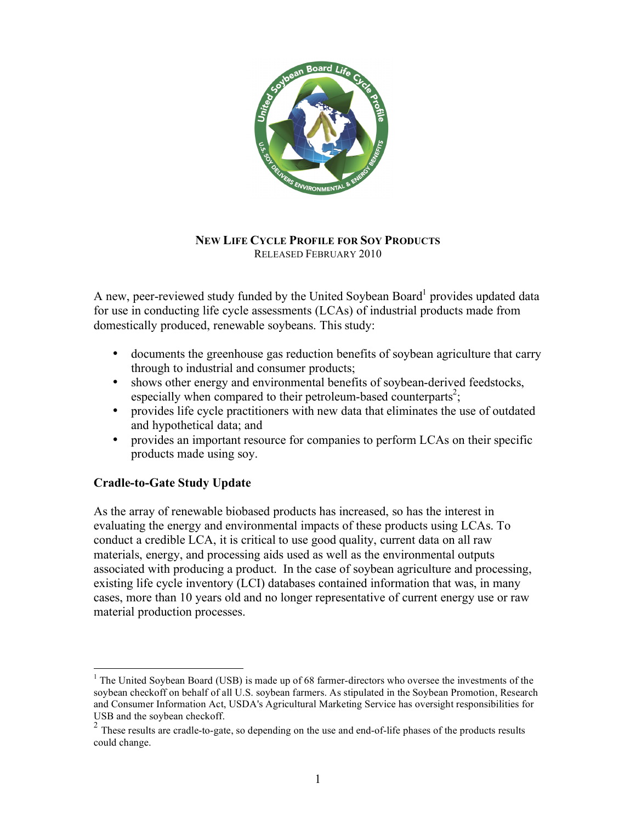

## **NEW LIFE CYCLE PROFILE FOR SOY PRODUCTS**  RELEASED FEBRUARY 2010

A new, peer-reviewed study funded by the United Soybean Board<sup>1</sup> provides updated data for use in conducting life cycle assessments (LCAs) of industrial products made from domestically produced, renewable soybeans. This study:

- documents the greenhouse gas reduction benefits of soybean agriculture that carry through to industrial and consumer products;
- shows other energy and environmental benefits of soybean-derived feedstocks, especially when compared to their petroleum-based counterparts<sup>2</sup>;
- provides life cycle practitioners with new data that eliminates the use of outdated and hypothetical data; and
- provides an important resource for companies to perform LCAs on their specific products made using soy.

# **Cradle-to-Gate Study Update**

As the array of renewable biobased products has increased, so has the interest in evaluating the energy and environmental impacts of these products using LCAs. To conduct a credible LCA, it is critical to use good quality, current data on all raw materials, energy, and processing aids used as well as the environmental outputs associated with producing a product. In the case of soybean agriculture and processing, existing life cycle inventory (LCI) databases contained information that was, in many cases, more than 10 years old and no longer representative of current energy use or raw material production processes.

 $\frac{1}{1}$  $1$  The United Soybean Board (USB) is made up of 68 farmer-directors who oversee the investments of the soybean checkoff on behalf of all U.S. soybean farmers. As stipulated in the Soybean Promotion, Research and Consumer Information Act, USDA's Agricultural Marketing Service has oversight responsibilities for USB and the soybean checkoff.

<sup>&</sup>lt;sup>2</sup> These results are cradle-to-gate, so depending on the use and end-of-life phases of the products results could change.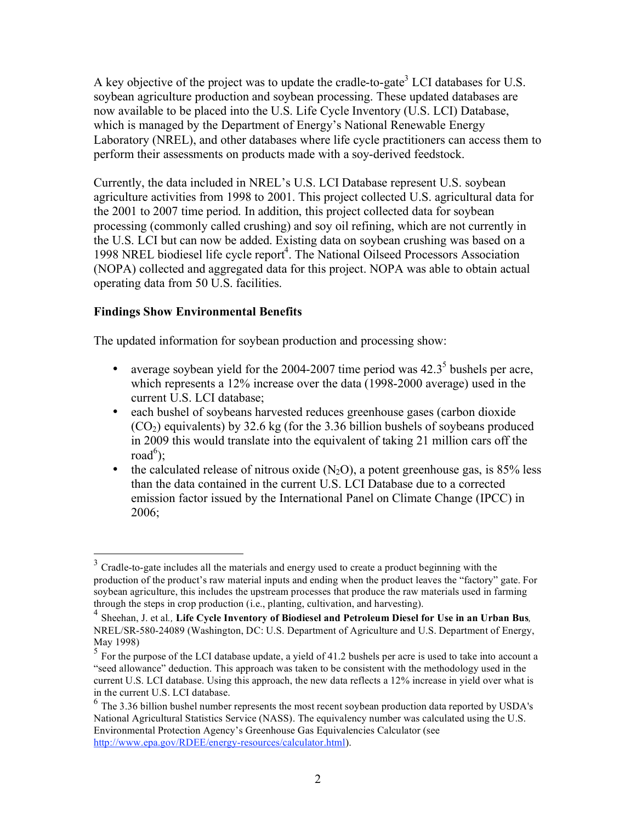A key objective of the project was to update the cradle-to-gate<sup>3</sup> LCI databases for U.S. soybean agriculture production and soybean processing. These updated databases are now available to be placed into the U.S. Life Cycle Inventory (U.S. LCI) Database, which is managed by the Department of Energy's National Renewable Energy Laboratory (NREL), and other databases where life cycle practitioners can access them to perform their assessments on products made with a soy-derived feedstock.

Currently, the data included in NREL's U.S. LCI Database represent U.S. soybean agriculture activities from 1998 to 2001. This project collected U.S. agricultural data for the 2001 to 2007 time period. In addition, this project collected data for soybean processing (commonly called crushing) and soy oil refining, which are not currently in the U.S. LCI but can now be added. Existing data on soybean crushing was based on a 1998 NREL biodiesel life cycle report<sup>4</sup>. The National Oilseed Processors Association (NOPA) collected and aggregated data for this project. NOPA was able to obtain actual operating data from 50 U.S. facilities.

# **Findings Show Environmental Benefits**

The updated information for soybean production and processing show:

- average soybean yield for the 2004-2007 time period was  $42.3^5$  bushels per acre, which represents a 12% increase over the data (1998-2000 average) used in the current U.S. LCI database;
- each bushel of soybeans harvested reduces greenhouse gases (carbon dioxide  $(CO<sub>2</sub>)$  equivalents) by 32.6 kg (for the 3.36 billion bushels of soybeans produced in 2009 this would translate into the equivalent of taking 21 million cars off the  $road^6$ );
- the calculated release of nitrous oxide  $(N_2O)$ , a potent greenhouse gas, is 85% less than the data contained in the current U.S. LCI Database due to a corrected emission factor issued by the International Panel on Climate Change (IPCC) in 2006;

<sup>&</sup>lt;sup>3</sup> Cradle-to-gate includes all the materials and energy used to create a product beginning with the production of the product's raw material inputs and ending when the product leaves the "factory" gate. For soybean agriculture, this includes the upstream processes that produce the raw materials used in farming through the steps in crop production (i.e., planting, cultivation, and harvesting).

<sup>4</sup> Sheehan, J. et al*.,* **Life Cycle Inventory of Biodiesel and Petroleum Diesel for Use in an Urban Bus***,*  NREL/SR-580-24089 (Washington, DC: U.S. Department of Agriculture and U.S. Department of Energy, May 1998)

<sup>&</sup>lt;sup>5</sup> For the purpose of the LCI database update, a yield of 41.2 bushels per acre is used to take into account a "seed allowance" deduction. This approach was taken to be consistent with the methodology used in the current U.S. LCI database. Using this approach, the new data reflects a 12% increase in yield over what is in the current U.S. LCI database.

<sup>6</sup> The 3.36 billion bushel number represents the most recent soybean production data reported by USDA's National Agricultural Statistics Service (NASS). The equivalency number was calculated using the U.S. Environmental Protection Agency's Greenhouse Gas Equivalencies Calculator (see http://www.epa.gov/RDEE/energy-resources/calculator.html).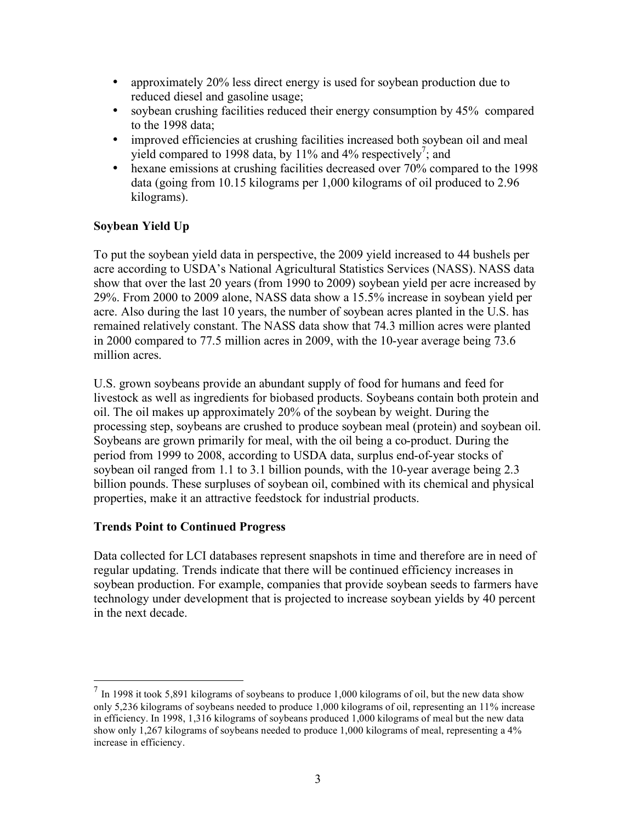- approximately 20% less direct energy is used for soybean production due to reduced diesel and gasoline usage;
- soybean crushing facilities reduced their energy consumption by 45% compared to the 1998 data;
- improved efficiencies at crushing facilities increased both soybean oil and meal yield compared to 1998 data, by 11% and 4% respectively<sup>7</sup>; and
- hexane emissions at crushing facilities decreased over 70% compared to the 1998 data (going from 10.15 kilograms per 1,000 kilograms of oil produced to 2.96 kilograms).

# **Soybean Yield Up**

To put the soybean yield data in perspective, the 2009 yield increased to 44 bushels per acre according to USDA's National Agricultural Statistics Services (NASS). NASS data show that over the last 20 years (from 1990 to 2009) soybean yield per acre increased by 29%. From 2000 to 2009 alone, NASS data show a 15.5% increase in soybean yield per acre. Also during the last 10 years, the number of soybean acres planted in the U.S. has remained relatively constant. The NASS data show that 74.3 million acres were planted in 2000 compared to 77.5 million acres in 2009, with the 10-year average being 73.6 million acres.

U.S. grown soybeans provide an abundant supply of food for humans and feed for livestock as well as ingredients for biobased products. Soybeans contain both protein and oil. The oil makes up approximately 20% of the soybean by weight. During the processing step, soybeans are crushed to produce soybean meal (protein) and soybean oil. Soybeans are grown primarily for meal, with the oil being a co-product. During the period from 1999 to 2008, according to USDA data, surplus end-of-year stocks of soybean oil ranged from 1.1 to 3.1 billion pounds, with the 10-year average being 2.3 billion pounds. These surpluses of soybean oil, combined with its chemical and physical properties, make it an attractive feedstock for industrial products.

# **Trends Point to Continued Progress**

Data collected for LCI databases represent snapshots in time and therefore are in need of regular updating. Trends indicate that there will be continued efficiency increases in soybean production. For example, companies that provide soybean seeds to farmers have technology under development that is projected to increase soybean yields by 40 percent in the next decade.

 $<sup>7</sup>$  In 1998 it took 5,891 kilograms of soybeans to produce 1,000 kilograms of oil, but the new data show</sup> only 5,236 kilograms of soybeans needed to produce 1,000 kilograms of oil, representing an 11% increase in efficiency. In 1998, 1,316 kilograms of soybeans produced 1,000 kilograms of meal but the new data show only 1,267 kilograms of soybeans needed to produce 1,000 kilograms of meal, representing a 4% increase in efficiency.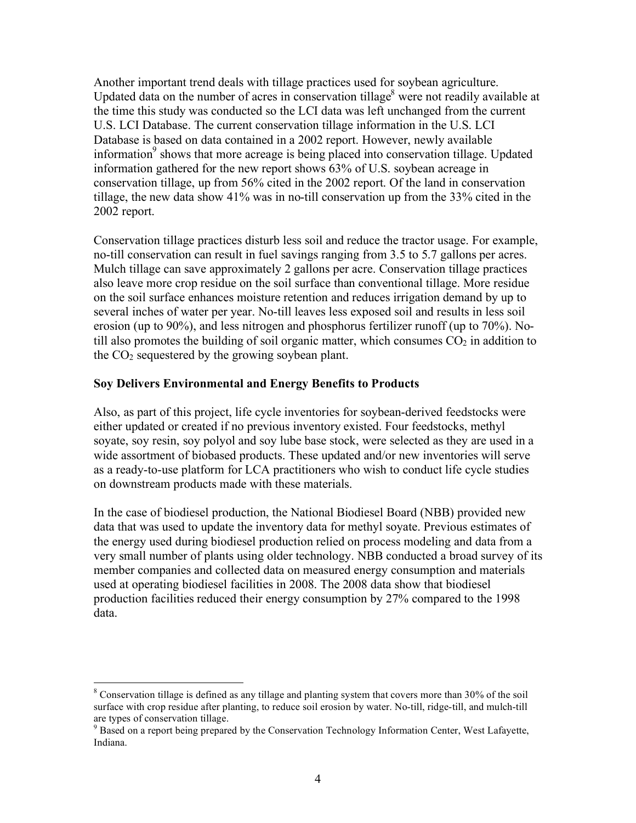Another important trend deals with tillage practices used for soybean agriculture. Updated data on the number of acres in conservation tillage<sup>8</sup> were not readily available at the time this study was conducted so the LCI data was left unchanged from the current U.S. LCI Database. The current conservation tillage information in the U.S. LCI Database is based on data contained in a 2002 report. However, newly available information<sup>9</sup> shows that more acreage is being placed into conservation tillage. Updated information gathered for the new report shows 63% of U.S. soybean acreage in conservation tillage, up from 56% cited in the 2002 report. Of the land in conservation tillage, the new data show 41% was in no-till conservation up from the 33% cited in the 2002 report.

Conservation tillage practices disturb less soil and reduce the tractor usage. For example, no-till conservation can result in fuel savings ranging from 3.5 to 5.7 gallons per acres. Mulch tillage can save approximately 2 gallons per acre. Conservation tillage practices also leave more crop residue on the soil surface than conventional tillage. More residue on the soil surface enhances moisture retention and reduces irrigation demand by up to several inches of water per year. No-till leaves less exposed soil and results in less soil erosion (up to 90%), and less nitrogen and phosphorus fertilizer runoff (up to 70%). Notill also promotes the building of soil organic matter, which consumes  $CO<sub>2</sub>$  in addition to the  $CO<sub>2</sub>$  sequestered by the growing soybean plant.

#### **Soy Delivers Environmental and Energy Benefits to Products**

Also, as part of this project, life cycle inventories for soybean-derived feedstocks were either updated or created if no previous inventory existed. Four feedstocks, methyl soyate, soy resin, soy polyol and soy lube base stock, were selected as they are used in a wide assortment of biobased products. These updated and/or new inventories will serve as a ready-to-use platform for LCA practitioners who wish to conduct life cycle studies on downstream products made with these materials.

In the case of biodiesel production, the National Biodiesel Board (NBB) provided new data that was used to update the inventory data for methyl soyate. Previous estimates of the energy used during biodiesel production relied on process modeling and data from a very small number of plants using older technology. NBB conducted a broad survey of its member companies and collected data on measured energy consumption and materials used at operating biodiesel facilities in 2008. The 2008 data show that biodiesel production facilities reduced their energy consumption by 27% compared to the 1998 data.

<sup>-&</sup>lt;br>8  $\delta$  Conservation tillage is defined as any tillage and planting system that covers more than 30% of the soil surface with crop residue after planting, to reduce soil erosion by water. No-till, ridge-till, and mulch-till

are types of conservation tillage.<br><sup>9</sup> Based on a report being prepared by the Conservation Technology Information Center, West Lafayette, Indiana.